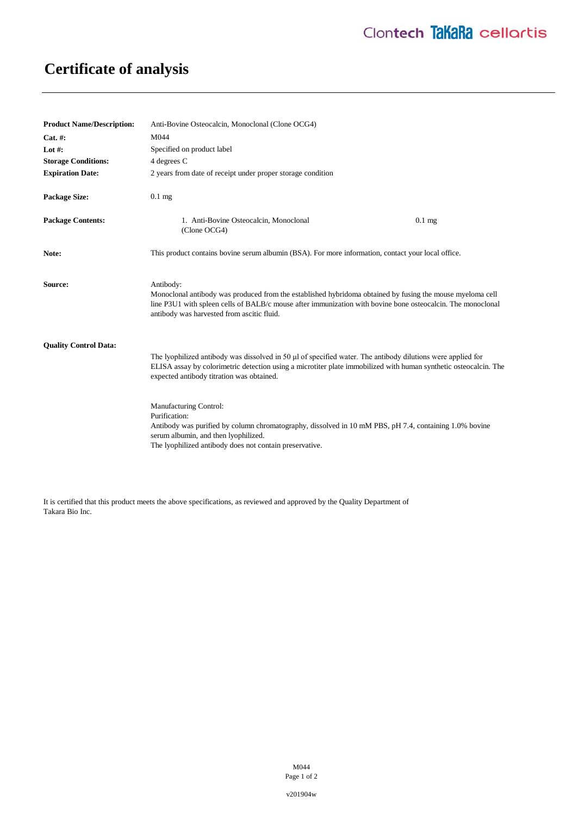## **Certificate of analysis**

| <b>Product Name/Description:</b> | Anti-Bovine Osteocalcin, Monoclonal (Clone OCG4)                                                                                                                                                                                                                                                                                                                                                                                                                                                                                     |
|----------------------------------|--------------------------------------------------------------------------------------------------------------------------------------------------------------------------------------------------------------------------------------------------------------------------------------------------------------------------------------------------------------------------------------------------------------------------------------------------------------------------------------------------------------------------------------|
| $Cat. \#:$                       | M044                                                                                                                                                                                                                                                                                                                                                                                                                                                                                                                                 |
| Lot $#$ :                        | Specified on product label                                                                                                                                                                                                                                                                                                                                                                                                                                                                                                           |
| <b>Storage Conditions:</b>       | 4 degrees C                                                                                                                                                                                                                                                                                                                                                                                                                                                                                                                          |
| <b>Expiration Date:</b>          | 2 years from date of receipt under proper storage condition                                                                                                                                                                                                                                                                                                                                                                                                                                                                          |
| <b>Package Size:</b>             | $0.1$ mg                                                                                                                                                                                                                                                                                                                                                                                                                                                                                                                             |
| <b>Package Contents:</b>         | 1. Anti-Bovine Osteocalcin, Monoclonal<br>0.1 <sub>mg</sub><br>(Clone OCG4)                                                                                                                                                                                                                                                                                                                                                                                                                                                          |
| Note:                            | This product contains bovine serum albumin (BSA). For more information, contact your local office.                                                                                                                                                                                                                                                                                                                                                                                                                                   |
| Source:                          | Antibody:<br>Monoclonal antibody was produced from the established hybridoma obtained by fusing the mouse myeloma cell<br>line P3U1 with spleen cells of BALB/c mouse after immunization with bovine bone osteocalcin. The monoclonal<br>antibody was harvested from ascitic fluid.                                                                                                                                                                                                                                                  |
| <b>Ouality Control Data:</b>     | The lyophilized antibody was dissolved in 50 µl of specified water. The antibody dilutions were applied for<br>ELISA assay by colorimetric detection using a microtiter plate immobilized with human synthetic osteocalcin. The<br>expected antibody titration was obtained.<br>Manufacturing Control:<br>Purification:<br>Antibody was purified by column chromatography, dissolved in 10 mM PBS, pH 7.4, containing 1.0% bovine<br>serum albumin, and then lyophilized.<br>The lyophilized antibody does not contain preservative. |

It is certified that this product meets the above specifications, as reviewed and approved by the Quality Department of Takara Bio Inc.

> M044 Page 1 of 2

v201904w